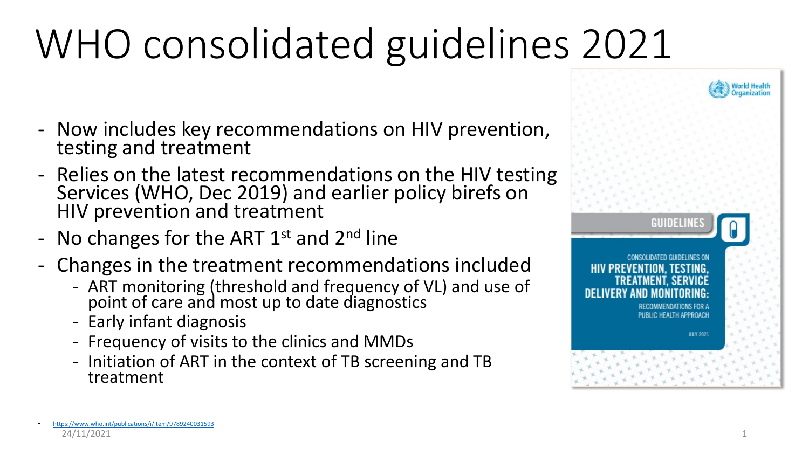# WHO consolidated guidelines 2021

- Now includes key recommendations on HIV prevention, testing and treatment
- Relies on the latest recommendations on the HIV testing Services (WHO, Dec 2019) and earlier policy birefs on HIV prevention and treatment
- No changes for the ART  $1<sup>st</sup>$  and  $2<sup>nd</sup>$  line
- Changes in the treatment recommendations included
	- ART monitoring (threshold and frequency of VL) and use of point of care and most up to date diagnostics
	- Early infant diagnosis
	- Frequency of visits to the clinics and MMDs
	- Initiation of ART in the context of TB screening and TB treatment

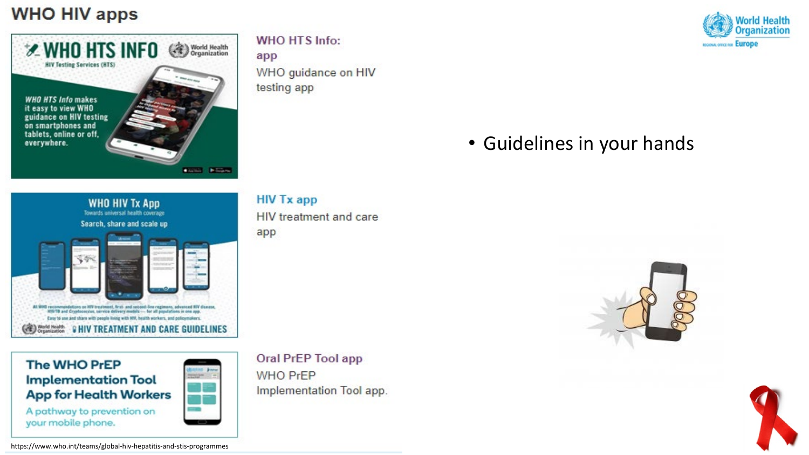#### **WHO HIV apps**



**WHO HTS Info:** 

app WHO guidance on HIV testing app



### • Guidelines in your hands



**The WHO PrEP Implementation Tool App for Health Workers** A pathway to prevention on

your mobile phone.

**HIV Tx app** 

HIV treatment and care app

Oral PrEP Tool app **WHO PrEP** Implementation Tool app.



https://www.who.int/teams/global-hiv-hepatitis-and-stis-programmes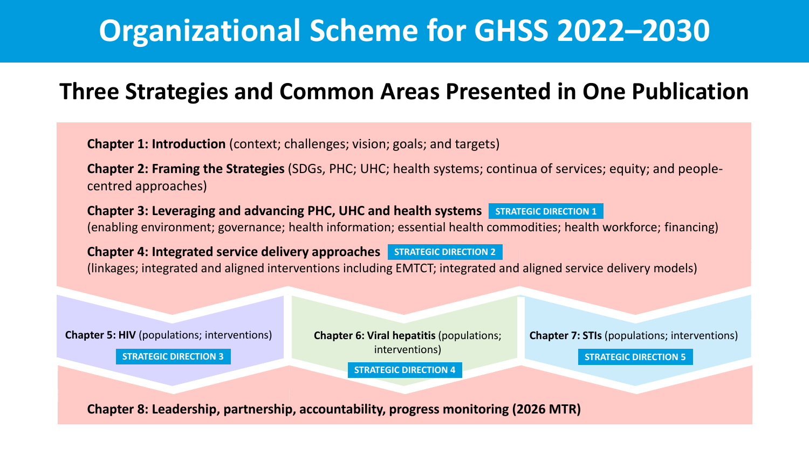# **Organizational Scheme for GHSS 2022–2030**

### **Three Strategies and Common Areas Presented in One Publication**

**Chapter 1: Introduction** (context; challenges; vision; goals; and targets)

**Chapter 2: Framing the Strategies** (SDGs, PHC; UHC; health systems; continua of services; equity; and peoplecentred approaches)

Chapter 3: Leveraging and advancing PHC, UHC and health systems **STRATEGIC DIRECTION 1** (enabling environment; governance; health information; essential health commodities; health workforce; financing)

**Chapter 4: Integrated service delivery approaches STRATEGIC DIRECTION 2** (linkages; integrated and aligned interventions including EMTCT; integrated and aligned service delivery models)

**Chapter 5: HIV** (populations; interventions)

**STRATEGIC DIRECTION 3**

interventions)

**STRATEGIC DIRECTION 4**

**Chapter 6: Viral hepatitis (populations; Chapter 7: STIs (populations; interventions)** 

**STRATEGIC DIRECTION 5**

**Chapter 8: Leadership, partnership, accountability, progress monitoring (2026 MTR)**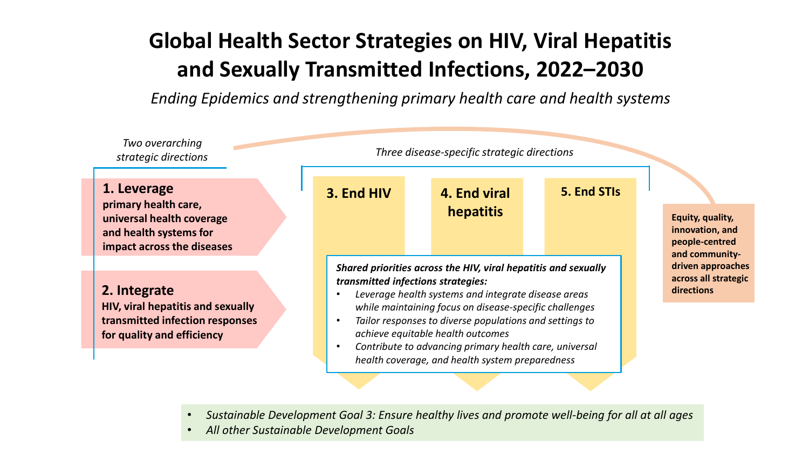## **Global Health Sector Strategies on HIV, Viral Hepatitis and Sexually Transmitted Infections, 2022–2030**

*Ending Epidemics and strengthening primary health care and health systems*



- *Sustainable Development Goal 3: Ensure healthy lives and promote well-being for all at all ages*
- *All other Sustainable Development Goals*